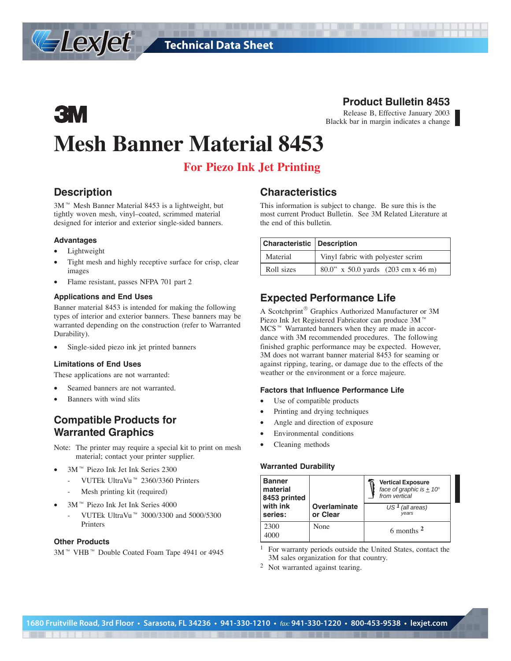# **3M Mesh Banner Material 8453**

### **For Piezo Ink Jet Printing**

### **Description**

Lexjet®

 $3M$ <sup> $M$ </sup> Mesh Banner Material 8453 is a lightweight, but tightly woven mesh, vinyl–coated, scrimmed material designed for interior and exterior single-sided banners.

#### **Advantages**

- Lightweight
- Tight mesh and highly receptive surface for crisp, clear images
- Flame resistant, passes NFPA 701 part 2

#### **Applications and End Uses**

Banner material 8453 is intended for making the following types of interior and exterior banners. These banners may be warranted depending on the construction (refer to Warranted Durability).

Single-sided piezo ink jet printed banners

#### **Limitations of End Uses**

These applications are not warranted:

- Seamed banners are not warranted.
- Banners with wind slits

### **Compatible Products for Warranted Graphics**

Note: The printer may require a special kit to print on mesh material; contact your printer supplier.

- 3M™ Piezo Ink Jet Ink Series 2300
	- VUTEk UltraVu<sup>™</sup> 2360/3360 Printers
	- Mesh printing kit (required)
- 3M™ Piezo Ink Jet Ink Series 4000
	- VUTEk UltraVu<sup>™</sup> 3000/3300 and 5000/5300 Printers

#### **Other Products**

3M<sup>™</sup> VHB<sup>™</sup> Double Coated Foam Tape 4941 or 4945

#### **Characteristics**

This information is subject to change. Be sure this is the most current Product Bulletin. See 3M Related Literature at the end of this bulletin.

| <b>Characteristic Description</b> |                                    |  |  |
|-----------------------------------|------------------------------------|--|--|
| Material                          | Vinyl fabric with polyester scrim  |  |  |
| Roll sizes                        | 80.0" x 50.0 yards (203 cm x 46 m) |  |  |

### **Expected Performance Life**

A Scotchprint<sup>®</sup> Graphics Authorized Manufacturer or 3M Piezo Ink Jet Registered Fabricator can produce 3M™  $MCS^{\omega}$  Warranted banners when they are made in accordance with 3M recommended procedures. The following finished graphic performance may be expected. However, 3M does not warrant banner material 8453 for seaming or against ripping, tearing, or damage due to the effects of the weather or the environment or a force majeure.

#### **Factors that Influence Performance Life**

- Use of compatible products
- Printing and drying techniques
- Angle and direction of exposure
- Environmental conditions
- Cleaning methods

#### **Warranted Durability**

| <b>Banner</b><br>material<br>8453 printed |                          | <b>Vertical Exposure</b><br>face of graphic is $\pm 10^{\circ}$<br>from vertical |
|-------------------------------------------|--------------------------|----------------------------------------------------------------------------------|
| with ink<br>series:                       | Overlaminate<br>or Clear | US <sup>1</sup> (all areas)<br>vears                                             |
| 2300<br>4000                              | None                     | 6 months $2$                                                                     |

- <sup>1</sup> For warranty periods outside the United States, contact the 3M sales organization for that country.
- <sup>2</sup> Not warranted against tearing.

## **Product Bulletin 8453**

Release B, Effective January 2003 Blackk bar in margin indicates a change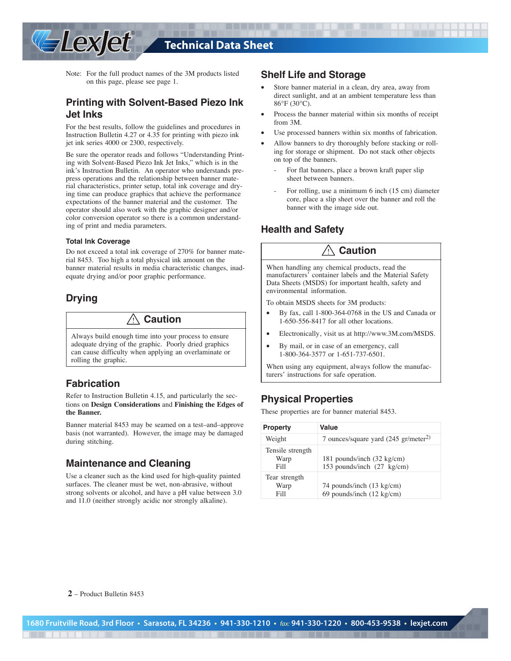

### **Technical Data Sheet**

Note: For the full product names of the 3M products listed on this page, please see page 1.

### **Printing with Solvent-Based Piezo Ink Jet Inks**

For the best results, follow the guidelines and procedures in Instruction Bulletin 4.27 or 4.35 for printing with piezo ink jet ink series 4000 or 2300, respectively.

Be sure the operator reads and follows "Understanding Printing with Solvent-Based Piezo Ink Jet Inks," which is in the ink's Instruction Bulletin. An operator who understands prepress operations and the relationship between banner material characteristics, printer setup, total ink coverage and drying time can produce graphics that achieve the performance expectations of the banner material and the customer. The operator should also work with the graphic designer and/or color conversion operator so there is a common understanding of print and media parameters.

#### **Total Ink Coverage**

Do not exceed a total ink coverage of 270% for banner material 8453. Too high a total physical ink amount on the banner material results in media characteristic changes, inadequate drying and/or poor graphic performance.

### **Drying**

! **Caution**

Always build enough time into your process to ensure adequate drying of the graphic. Poorly dried graphics can cause difficulty when applying an overlaminate or rolling the graphic.

#### **Fabrication**

Refer to Instruction Bulletin 4.15, and particularly the sections on **Design Considerations** and **Finishing the Edges of the Banner.**

Banner material 8453 may be seamed on a test–and–approve basis (not warranted). However, the image may be damaged during stitching.

#### **Maintenance and Cleaning**

Use a cleaner such as the kind used for high-quality painted surfaces. The cleaner must be wet, non-abrasive, without strong solvents or alcohol, and have a pH value between 3.0 and 11.0 (neither strongly acidic nor strongly alkaline).

#### **Shelf Life and Storage**

- Store banner material in a clean, dry area, away from direct sunlight, and at an ambient temperature less than 86°F (30°C).
- Process the banner material within six months of receipt from 3M.
- Use processed banners within six months of fabrication.
- Allow banners to dry thoroughly before stacking or rolling for storage or shipment. Do not stack other objects on top of the banners.
	- For flat banners, place a brown kraft paper slip sheet between banners.
	- For rolling, use a minimum 6 inch (15 cm) diameter core, place a slip sheet over the banner and roll the banner with the image side out.

#### **Health and Safety**

### ! **Caution**

When handling any chemical products, read the manufacturers' container labels and the Material Safety Data Sheets (MSDS) for important health, safety and environmental information.

To obtain MSDS sheets for 3M products:

- By fax, call 1-800-364-0768 in the US and Canada or 1-650-556-8417 for all other locations.
- Electronically, visit us at http://www.3M.com/MSDS.
- By mail, or in case of an emergency, call 1-800-364-3577 or 1-651-737-6501.

When using any equipment, always follow the manufacturers' instructions for safe operation.

### **Physical Properties**

These properties are for banner material 8453.

| <b>Property</b>                  | Value                                                            |
|----------------------------------|------------------------------------------------------------------|
| Weight                           | 7 ounces/square yard $(245 \text{ gr/meter}^2)$                  |
| Tensile strength<br>Warp<br>Fill | 181 pounds/inch (32 kg/cm)<br>153 pounds/inch (27 kg/cm)         |
| Tear strength<br>Warp<br>Fill    | 74 pounds/inch (13 kg/cm)<br>69 pounds/inch $(12 \text{ kg/cm})$ |